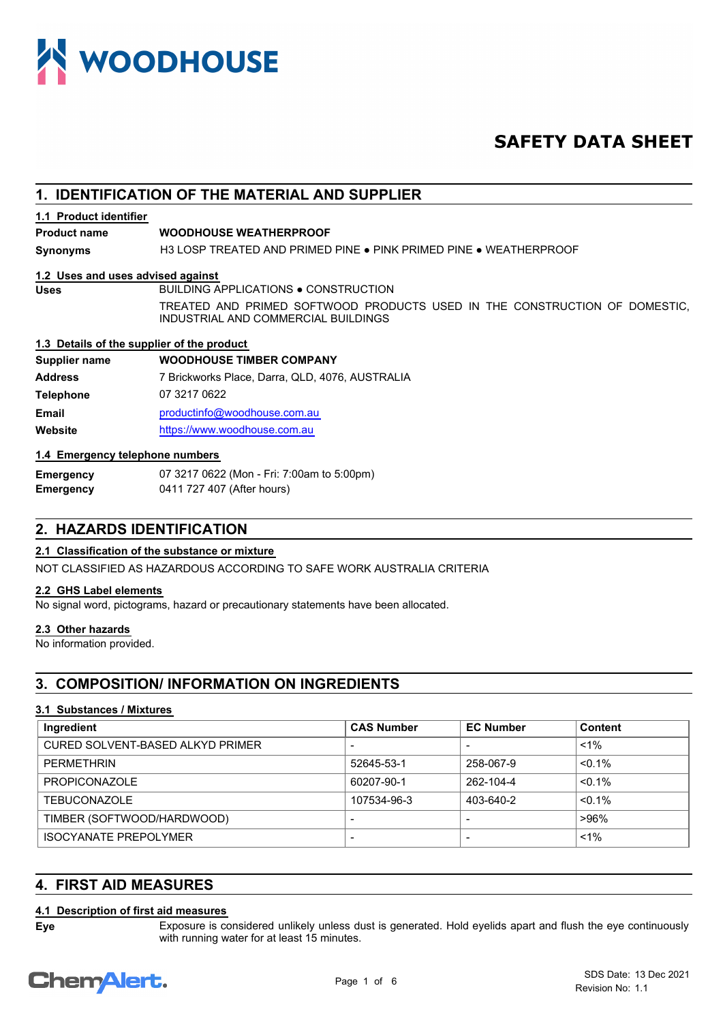

# **SAFETY DATA SHEET**

# **1. IDENTIFICATION OF THE MATERIAL AND SUPPLIER**

#### **1.1 Product identifier**

#### **Product name WOODHOUSE WEATHERPROOF**

**Synonyms** H3 LOSP TREATED AND PRIMED PINE ● PINK PRIMED PINE ● WEATHERPROOF

#### **1.2 Uses and uses advised against**

Uses BUILDING APPLICATIONS . CONSTRUCTION

TREATED AND PRIMED SOFTWOOD PRODUCTS USED IN THE CONSTRUCTION OF DOMESTIC, INDUSTRIAL AND COMMERCIAL BUILDINGS

#### **1.3 Details of the supplier of the product**

## **Supplier name WOODHOUSE TIMBER COMPANY Address** 7 Brickworks Place, Darra, QLD, 4076, AUSTRALIA **Telephone** 07 3217 0622

**Email** [productin](mailto:productinfo@woodhouse.com.au)fo@woodhouse.com.au **Website** [https://www](https://www.woodhouse.com.au).woodhouse.com.au

# **1.4 Emergency telephone numbers**

**Emergency** 07 3217 0622 (Mon - Fri: 7:00am to 5:00pm) **Emergency** 0411 727 407 (After hours)

# **2. HAZARDS IDENTIFICATION**

# **2.1 Classification of the substance or mixture**

NOT CLASSIFIED AS HAZARDOUS ACCORDING TO SAFE WORK AUSTRALIA CRITERIA

# **2.2 GHS Label elements**

No signal word, pictograms, hazard or precautionary statements have been allocated.

## **2.3 Other hazards**

No information provided.

# **3. COMPOSITION/ INFORMATION ON INGREDIENTS**

# **3.1 Substances / Mixtures**

| Ingredient                       | <b>CAS Number</b> | <b>EC Number</b> | Content   |
|----------------------------------|-------------------|------------------|-----------|
| CURED SOLVENT-BASED ALKYD PRIMER |                   |                  | $1\%$     |
| <b>PFRMFTHRIN</b>                | 52645-53-1        | 258-067-9        | $< 0.1\%$ |
| <b>PROPICONAZOLE</b>             | 60207-90-1        | 262-104-4        | $< 0.1\%$ |
| <b>TEBUCONAZOLE</b>              | 107534-96-3       | 403-640-2        | $< 0.1\%$ |
| TIMBER (SOFTWOOD/HARDWOOD)       |                   |                  | >96%      |
| <b>ISOCYANATE PREPOLYMER</b>     |                   |                  | $1\%$     |

# **4. FIRST AID MEASURES**

# **4.1 Description of first aid measures**

**Eye**

Exposure is considered unlikely unless dust is generated. Hold eyelids apart and flush the eye continuously with running water for at least 15 minutes.

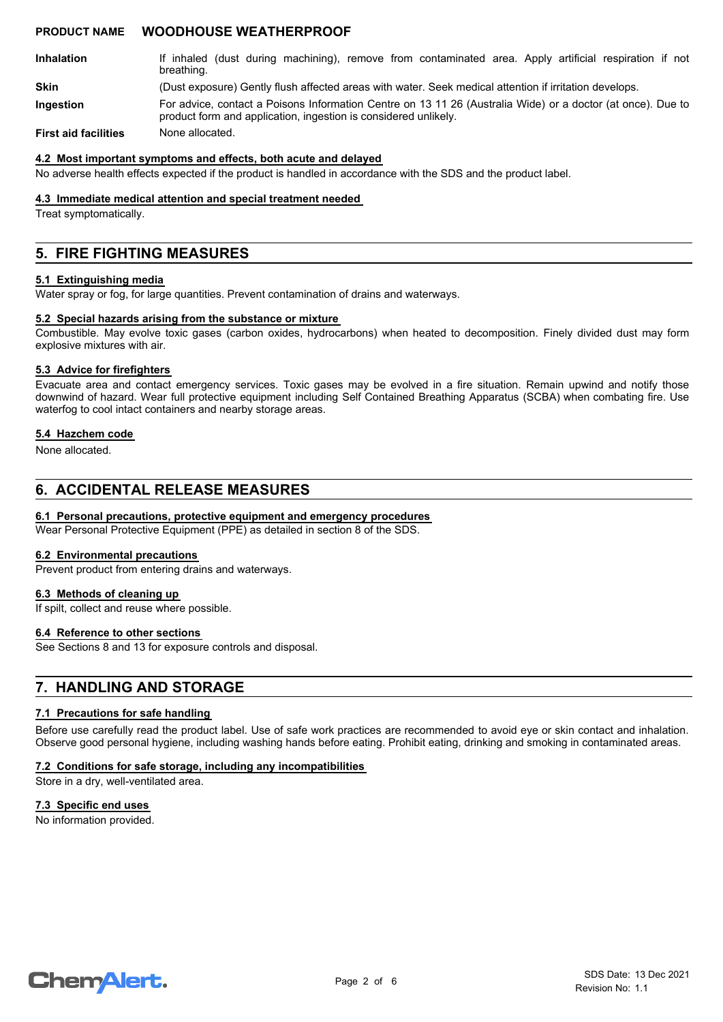- If inhaled (dust during machining), remove from contaminated area. Apply artificial respiration if not breathing. **Inhalation**
- **Skin** (Dust exposure) Gently flush affected areas with water. Seek medical attention if irritation develops.
- For advice, contact a Poisons Information Centre on 13 11 26 (Australia Wide) or a doctor (at once). Due to product form and application, ingestion is considered unlikely. **Ingestion**

**First aid facilities** None allocated.

#### **4.2 Most important symptoms and effects, both acute and delayed**

No adverse health effects expected if the product is handled in accordance with the SDS and the product label.

#### **4.3 Immediate medical attention and special treatment needed**

Treat symptomatically.

# **5. FIRE FIGHTING MEASURES**

#### **5.1 Extinguishing media**

Water spray or fog, for large quantities. Prevent contamination of drains and waterways.

#### **5.2 Special hazards arising from the substance or mixture**

Combustible. May evolve toxic gases (carbon oxides, hydrocarbons) when heated to decomposition. Finely divided dust may form explosive mixtures with air.

#### **5.3 Advice for firefighters**

Evacuate area and contact emergency services. Toxic gases may be evolved in a fire situation. Remain upwind and notify those downwind of hazard. Wear full protective equipment including Self Contained Breathing Apparatus (SCBA) when combating fire. Use waterfog to cool intact containers and nearby storage areas.

#### **5.4 Hazchem code**

None allocated.

# **6. ACCIDENTAL RELEASE MEASURES**

#### **6.1 Personal precautions, protective equipment and emergency procedures**

Wear Personal Protective Equipment (PPE) as detailed in section 8 of the SDS.

#### **6.2 Environmental precautions**

Prevent product from entering drains and waterways.

#### **6.3 Methods of cleaning up**

If spilt, collect and reuse where possible.

## **6.4 Reference to other sections**

See Sections 8 and 13 for exposure controls and disposal.

# **7. HANDLING AND STORAGE**

#### **7.1 Precautions for safe handling**

Before use carefully read the product label. Use of safe work practices are recommended to avoid eye or skin contact and inhalation. Observe good personal hygiene, including washing hands before eating. Prohibit eating, drinking and smoking in contaminated areas.

#### **7.2 Conditions for safe storage, including any incompatibilities**

Store in a dry, well-ventilated area.

#### **7.3 Specific end uses**

No information provided.

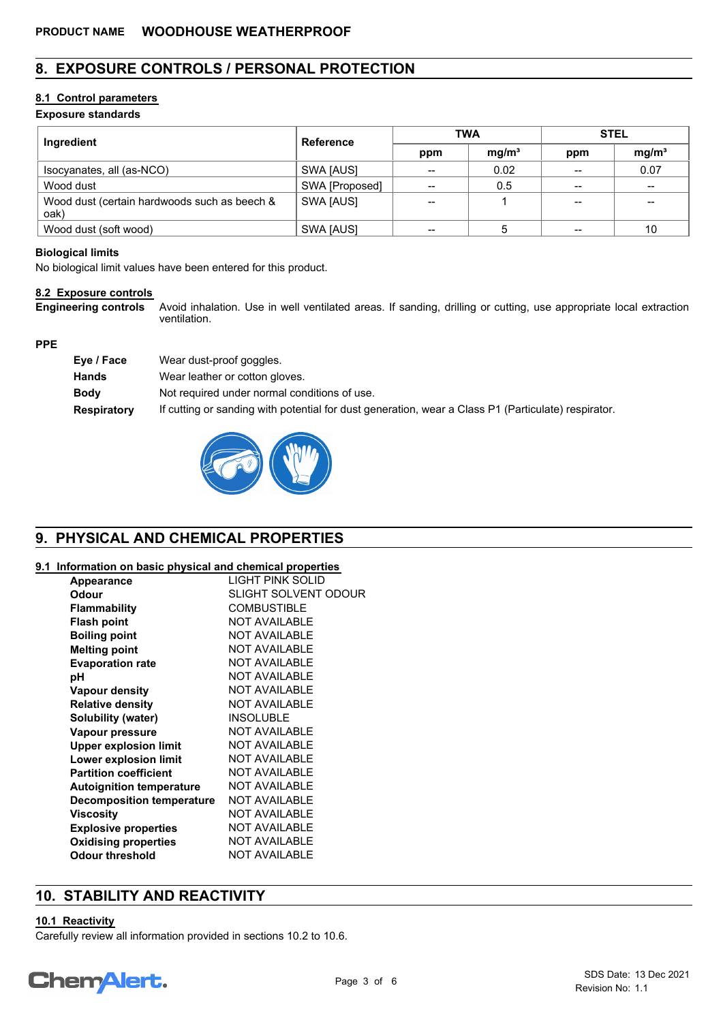# **8. EXPOSURE CONTROLS / PERSONAL PROTECTION**

# **8.1 Control parameters**

# **Exposure standards**

| Ingredient                                           | <b>Reference</b> | <b>TWA</b> |                   | <b>STEL</b> |                   |
|------------------------------------------------------|------------------|------------|-------------------|-------------|-------------------|
|                                                      |                  | ppm        | mg/m <sup>3</sup> | ppm         | mg/m <sup>3</sup> |
| Isocyanates, all (as-NCO)                            | SWA [AUS]        | --         | 0.02              |             | 0.07              |
| Wood dust                                            | SWA [Proposed]   | --         | 0.5               |             | $\qquad \qquad$   |
| Wood dust (certain hardwoods such as beech &<br>oak) | SWA [AUS]        | --         |                   | --          | --                |
| Wood dust (soft wood)                                | SWA [AUS]        | --         |                   |             | 10                |

## **Biological limits**

No biological limit values have been entered for this product.

# **8.2 Exposure controls**

**Engineering controls**

Avoid inhalation. Use in well ventilated areas. If sanding, drilling or cutting, use appropriate local extraction ventilation.

## **PPE**

| Eye / Face  | Wear dust-proof goggles.                                                                            |
|-------------|-----------------------------------------------------------------------------------------------------|
| Hands       | Wear leather or cotton gloves.                                                                      |
| <b>Body</b> | Not required under normal conditions of use.                                                        |
| Respiratory | If cutting or sanding with potential for dust generation, wear a Class P1 (Particulate) respirator. |



# **9. PHYSICAL AND CHEMICAL PROPERTIES**

# **9.1 Information on basic physical and chemical properties**

| <b>Appearance</b>                | LIGHT PINK SOLID            |
|----------------------------------|-----------------------------|
| Odour                            | <b>SLIGHT SOLVENT ODOUR</b> |
| Flammability                     | <b>COMBUSTIBLE</b>          |
| <b>Flash point</b>               | <b>NOT AVAILABLE</b>        |
| <b>Boiling point</b>             | <b>NOT AVAILABLE</b>        |
| <b>Melting point</b>             | <b>NOT AVAILABLE</b>        |
| <b>Evaporation rate</b>          | <b>NOT AVAILABLE</b>        |
| рH                               | <b>NOT AVAILABLE</b>        |
| Vapour density                   | <b>NOT AVAILABLE</b>        |
| <b>Relative density</b>          | <b>NOT AVAILABLE</b>        |
| Solubility (water)               | <b>INSOLUBLE</b>            |
| Vapour pressure                  | <b>NOT AVAILABLE</b>        |
| <b>Upper explosion limit</b>     | <b>NOT AVAILABLE</b>        |
| <b>Lower explosion limit</b>     | <b>NOT AVAILABLE</b>        |
| <b>Partition coefficient</b>     | <b>NOT AVAILABLE</b>        |
| <b>Autoignition temperature</b>  | <b>NOT AVAILABLE</b>        |
| <b>Decomposition temperature</b> | <b>NOT AVAILABLE</b>        |
| <b>Viscosity</b>                 | <b>NOT AVAILABLE</b>        |
| <b>Explosive properties</b>      | <b>NOT AVAILABLE</b>        |
| <b>Oxidising properties</b>      | <b>NOT AVAILABLE</b>        |
| Odour threshold                  | <b>NOT AVAILABLE</b>        |

# **10. STABILITY AND REACTIVITY**

#### **10.1 Reactivity**

Carefully review all information provided in sections 10.2 to 10.6.

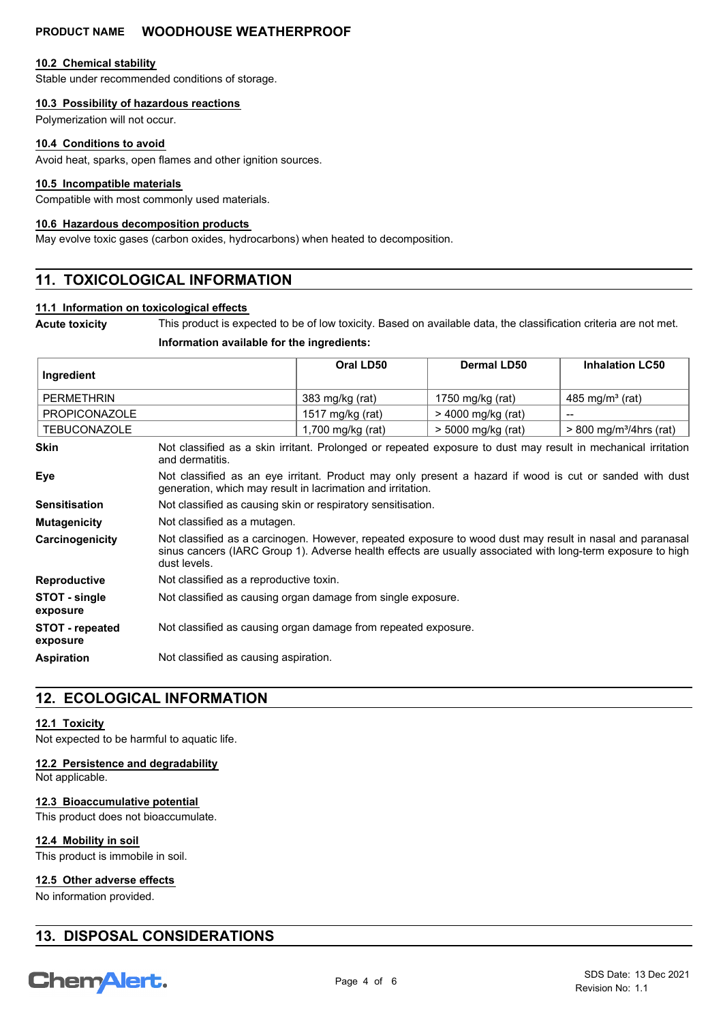#### **10.2 Chemical stability**

Stable under recommended conditions of storage.

### **10.3 Possibility of hazardous reactions**

Polymerization will not occur.

#### **10.4 Conditions to avoid**

Avoid heat, sparks, open flames and other ignition sources.

#### **10.5 Incompatible materials**

Compatible with most commonly used materials.

#### **10.6 Hazardous decomposition products**

May evolve toxic gases (carbon oxides, hydrocarbons) when heated to decomposition.

# **11. TOXICOLOGICAL INFORMATION**

#### **11.1 Information on toxicological effects**

**Acute toxicity** This product is expected to be of low toxicity. Based on available data, the classification criteria are not met.

# **Information available for the ingredients:**

| Ingredient                  |                                                                                                                                                                                                                                          | Oral LD50         | <b>Dermal LD50</b> | <b>Inhalation LC50</b>                |
|-----------------------------|------------------------------------------------------------------------------------------------------------------------------------------------------------------------------------------------------------------------------------------|-------------------|--------------------|---------------------------------------|
| <b>PERMETHRIN</b>           |                                                                                                                                                                                                                                          | 383 mg/kg (rat)   | 1750 mg/kg (rat)   | $485 \text{ mg/m}^3$ (rat)            |
| <b>PROPICONAZOLE</b>        |                                                                                                                                                                                                                                          | 1517 mg/kg (rat)  | > 4000 mg/kg (rat) | $\qquad \qquad$                       |
| <b>TEBUCONAZOLE</b>         |                                                                                                                                                                                                                                          | 1,700 mg/kg (rat) | > 5000 mg/kg (rat) | $> 800$ mg/m <sup>3</sup> /4hrs (rat) |
| <b>Skin</b>                 | Not classified as a skin irritant. Prolonged or repeated exposure to dust may result in mechanical irritation<br>and dermatitis.                                                                                                         |                   |                    |                                       |
| Eye                         | Not classified as an eye irritant. Product may only present a hazard if wood is cut or sanded with dust<br>generation, which may result in lacrimation and irritation.                                                                   |                   |                    |                                       |
| <b>Sensitisation</b>        | Not classified as causing skin or respiratory sensitisation.                                                                                                                                                                             |                   |                    |                                       |
| <b>Mutagenicity</b>         | Not classified as a mutagen.                                                                                                                                                                                                             |                   |                    |                                       |
| Carcinogenicity             | Not classified as a carcinogen. However, repeated exposure to wood dust may result in nasal and paranasal<br>sinus cancers (IARC Group 1). Adverse health effects are usually associated with long-term exposure to high<br>dust levels. |                   |                    |                                       |
| <b>Reproductive</b>         | Not classified as a reproductive toxin.                                                                                                                                                                                                  |                   |                    |                                       |
| STOT - single<br>exposure   | Not classified as causing organ damage from single exposure.                                                                                                                                                                             |                   |                    |                                       |
| STOT - repeated<br>exposure | Not classified as causing organ damage from repeated exposure.                                                                                                                                                                           |                   |                    |                                       |
| <b>Aspiration</b>           | Not classified as causing aspiration.                                                                                                                                                                                                    |                   |                    |                                       |

# **12. ECOLOGICAL INFORMATION**

# **12.1 Toxicity**

Not expected to be harmful to aquatic life.

## **12.2 Persistence and degradability**

Not applicable.

## **12.3 Bioaccumulative potential**

This product does not bioaccumulate.

## **12.4 Mobility in soil**

This product is immobile in soil.

## **12.5 Other adverse effects**

No information provided.

# **13. DISPOSAL CONSIDERATIONS**

# **Chemalert.**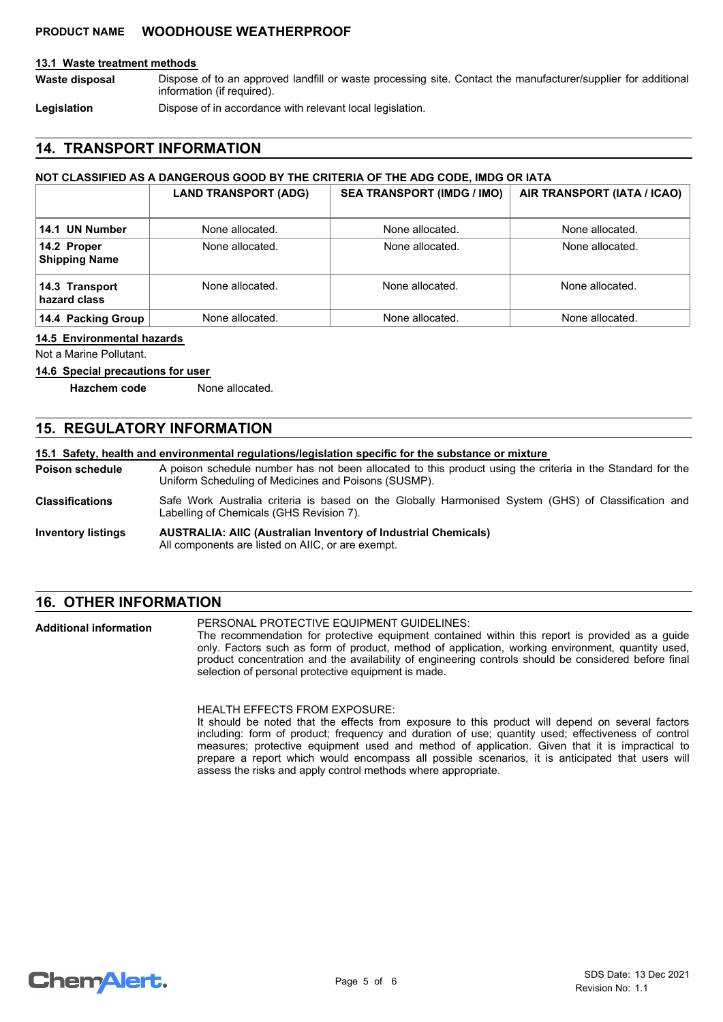#### **13.1 Waste treatment methods**

Dispose of to an approved landfill or waste processing site. Contact the manufacturer/supplier for additional information (if required). **Waste disposal**

Legislation **Dispose of in accordance with relevant local legislation.** 

# **14. TRANSPORT INFORMATION**

#### **NOT CLASSIFIED AS A DANGEROUS GOOD BY THE CRITERIA OF THE ADG CODE, IMDG OR IATA**

|                                     | <b>LAND TRANSPORT (ADG)</b> | <b>SEA TRANSPORT (IMDG / IMO)</b> | AIR TRANSPORT (IATA / ICAO) |
|-------------------------------------|-----------------------------|-----------------------------------|-----------------------------|
| 14.1 UN Number                      | None allocated.             | None allocated.                   | None allocated.             |
| 14.2 Proper<br><b>Shipping Name</b> | None allocated.             | None allocated.                   | None allocated.             |
| 14.3 Transport<br>hazard class      | None allocated.             | None allocated.                   | None allocated.             |
| 14.4 Packing Group                  | None allocated.             | None allocated.                   | None allocated.             |

#### **14.5 Environmental hazards**

Not a Marine Pollutant.

#### **14.6 Special precautions for user**

**Hazchem code** None allocated.

# **15. REGULATORY INFORMATION**

#### **15.1 Safety, health and environmental regulations/legislation specific for the substance or mixture**

A poison schedule number has not been allocated to this product using the criteria in the Standard for the Uniform Scheduling of Medicines and Poisons (SUSMP). **Poison schedule**

- Safe Work Australia criteria is based on the Globally Harmonised System (GHS) of Classification and Labelling of Chemicals (GHS Revision 7). **Classifications**
- **AUSTRALIA: AIIC (Australian Inventory of Industrial Chemicals)** All components are listed on AIIC, or are exempt. **Inventory listings**

## **16. OTHER INFORMATION**

PERSONAL PROTECTIVE EQUIPMENT GUIDELINES: The recommendation for protective equipment contained within this report is provided as a guide only. Factors such as form of product, method of application, working environment, quantity used, product concentration and the availability of engineering controls should be considered before final selection of personal protective equipment is made. **Additional information**

> HEALTH EFFECTS FROM EXPOSURE: It should be noted that the effects from exposure to this product will depend on several factors including: form of product; frequency and duration of use; quantity used; effectiveness of control measures; protective equipment used and method of application. Given that it is impractical to prepare a report which would encompass all possible scenarios, it is anticipated that users will assess the risks and apply control methods where appropriate.